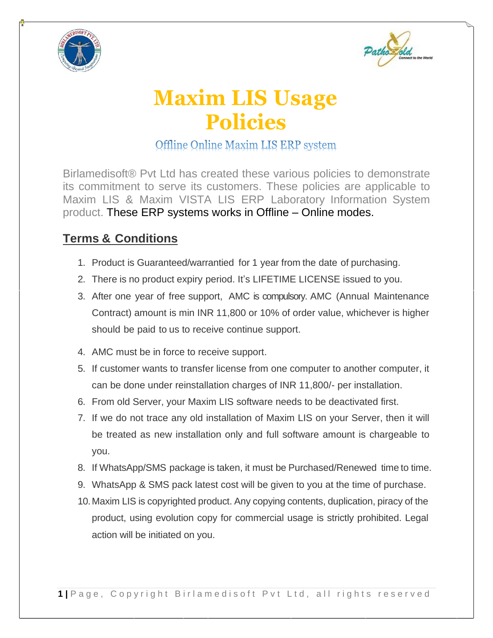



## **Maxim LIS Usage Policies**

## Offline Online Maxim LIS ERP system

Birlamedisoft® Pvt Ltd has created these various policies to demonstrate its commitment to serve its customers. These policies are applicable to Maxim LIS & Maxim VISTA LIS ERP Laboratory Information System product. These ERP systems works in Offline – Online modes.

## **Terms & Conditions**

- 1. Product is Guaranteed/warrantied for 1 year from the date of purchasing.
- 2. There is no product expiry period. It's LIFETIME LICENSE issued to you.
- 3. After one year of free support, AMC is compulsory. AMC (Annual Maintenance Contract) amount is min INR 11,800 or 10% of order value, whichever is higher should be paid to us to receive continue support.
- 4. AMC must be in force to receive support.
- 5. If customer wants to transfer license from one computer to another computer, it can be done under reinstallation charges of INR 11,800/- per installation.
- 6. From old Server, your Maxim LIS software needs to be deactivated first.
- 7. If we do not trace any old installation of Maxim LIS on your Server, then it will be treated as new installation only and full software amount is chargeable to you.
- 8. If WhatsApp/SMS package is taken, it must be Purchased/Renewed time to time.
- 9. WhatsApp & SMS pack latest cost will be given to you at the time of purchase.
- 10.Maxim LIS is copyrighted product. Any copying contents, duplication, piracy of the product, using evolution copy for commercial usage is strictly prohibited. Legal action will be initiated on you.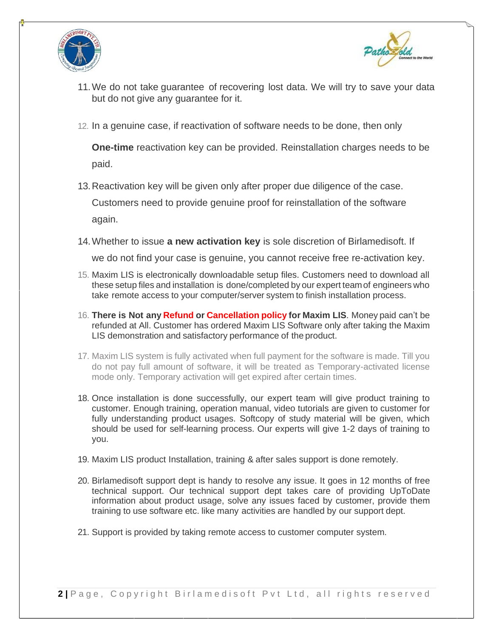



- 11.We do not take guarantee of recovering lost data. We will try to save your data but do not give any guarantee for it.
- 12. In a genuine case, if reactivation of software needs to be done, then only

**One-time** reactivation key can be provided. Reinstallation charges needs to be paid.

- 13.Reactivation key will be given only after proper due diligence of the case. Customers need to provide genuine proof for reinstallation of the software again.
- 14.Whether to issue **a new activation key** is sole discretion of Birlamedisoft. If

we do not find your case is genuine, you cannot receive free re-activation key.

- 15. Maxim LIS is electronically downloadable setup files. Customers need to download all these setup files and installation is done/completed by our expert teamof engineers who take remote access to your computer/server system to finish installation process.
- 16. **There is Not any Refund or Cancellation policy for Maxim LIS**. Money paid can't be refunded at All. Customer has ordered Maxim LIS Software only after taking the Maxim LIS demonstration and satisfactory performance of the product.
- 17. Maxim LIS system is fully activated when full payment for the software is made. Till you do not pay full amount of software, it will be treated as Temporary-activated license mode only. Temporary activation will get expired after certain times.
- 18. Once installation is done successfully, our expert team will give product training to customer. Enough training, operation manual, video tutorials are given to customer for fully understanding product usages. Softcopy of study material will be given, which should be used for self-learning process. Our experts will give 1-2 days of training to you.
- 19. Maxim LIS product Installation, training & after sales support is done remotely.
- 20. Birlamedisoft support dept is handy to resolve any issue. It goes in 12 months of free technical support. Our technical support dept takes care of providing UpToDate information about product usage, solve any issues faced by customer, provide them training to use software etc. like many activities are handled by our support dept.
- 21. Support is provided by taking remote access to customer computer system.

**2** | Page, Copyright Birlamedisoft Pvt Ltd, all rights reserved